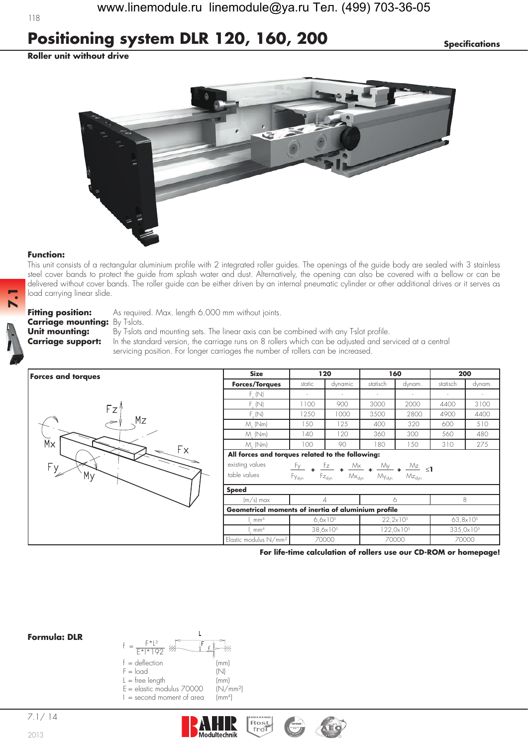## **Positioning system DLR 120, 160, 200** *Specifications*

**Roller unit without drive**



## **Function:**

**7.1**

This unit consists of a rectangular aluminium profile with 2 integrated roller guides. The openings of the guide body are sealed with 3 stainless steel cover bands to protect the guide from splash water and dust. Alternatively, the opening can also be covered with a bellow or can be delivered without cover bands. The roller guide can be either driven by an internal pneumatic cylinder or other additional drives or it serves as load carrying linear slide.

## **Carriage mounting:** By T-slots.<br>**Unit mounting:** By T-slots

**Fitting position:** As required. Max. length 6.000 mm without joints.

**Unit mounting:** By T-slots and mounting sets. The linear axis can be combined with any T-slot profile. **Carriage support:** In the standard version, the carriage runs on 8 rollers which can be adjusted and serviced at a central servicing position. For longer carriages the number of rollers can be increased.

| <b>Forces and torques</b> | <b>Size</b>                                                                                                                                                                                               | 120                 |                      | 160                 |        | 200                   |        |  |  |  |
|---------------------------|-----------------------------------------------------------------------------------------------------------------------------------------------------------------------------------------------------------|---------------------|----------------------|---------------------|--------|-----------------------|--------|--|--|--|
|                           | <b>Forces/Torques</b>                                                                                                                                                                                     | static              | dynamic              | statisch            | dynam. | statisch              | dynam. |  |  |  |
|                           | $F_{x}$ (N)                                                                                                                                                                                               | $\sim$              |                      |                     |        | $\sim$                |        |  |  |  |
| Fz'                       | $F_{v}$ (N)                                                                                                                                                                                               | 1100                | 900                  | 3000                | 2000   | 4400                  | 3100   |  |  |  |
|                           | F(N)                                                                                                                                                                                                      | 1250                | 1000                 | 3500                | 2800   | 4900                  | 4400   |  |  |  |
| Mz                        | $M_{\nu}$ (Nm)                                                                                                                                                                                            | 150                 | 125                  | 400                 | 320    | 600                   | 510    |  |  |  |
|                           | $M_{.}$ (Nm)                                                                                                                                                                                              | 140                 | 120                  | 360                 | 300    | 560                   | 480    |  |  |  |
| $\overline{M}$            | $M_{.}$ (Nm)                                                                                                                                                                                              | 100                 | 90                   | 180                 | 150    | 310                   | 275    |  |  |  |
| Fх                        | All forces and torques related to the following:                                                                                                                                                          |                     |                      |                     |        |                       |        |  |  |  |
| $F_{\frac{y}{x}}$         | existing values                                                                                                                                                                                           |                     |                      |                     |        |                       |        |  |  |  |
| My                        | $\frac{Fz}{\sqrt{2}}$ + $\frac{Mx}{\sqrt{2}}$ + $\frac{My}{\sqrt{2}}$ + $\frac{Mz}{\sqrt{2}}$ <1<br>Fy .<br>table values<br>$Mx_{\rm dyn}$<br>$Mz_{dyn}$<br>Fy <sub>dyn</sub><br>$Fz_{dyn}$<br>$My_{dyn}$ |                     |                      |                     |        |                       |        |  |  |  |
|                           | <b>Speed</b>                                                                                                                                                                                              |                     |                      |                     |        |                       |        |  |  |  |
|                           | $(m/s)$ max                                                                                                                                                                                               |                     |                      | Ô                   |        | 8                     |        |  |  |  |
|                           | Geometrical moments of inertia of aluminium profile                                                                                                                                                       |                     |                      |                     |        |                       |        |  |  |  |
|                           | mm <sup>4</sup>                                                                                                                                                                                           | $6.6 \times 10^{5}$ |                      | $22,2\times10^{5}$  |        | $63,8\times10^{5}$    |        |  |  |  |
|                           | mm <sup>4</sup>                                                                                                                                                                                           |                     | $38,6 \times 10^{5}$ | $122,0\times10^{5}$ |        | 335,0x10 <sup>5</sup> |        |  |  |  |
|                           | Elastic modulus N/mm <sup>2</sup><br>70000                                                                                                                                                                |                     |                      |                     | 70000  | 70000                 |        |  |  |  |

**For life-time calculation of rollers use our CD-ROM or homepage!**







118